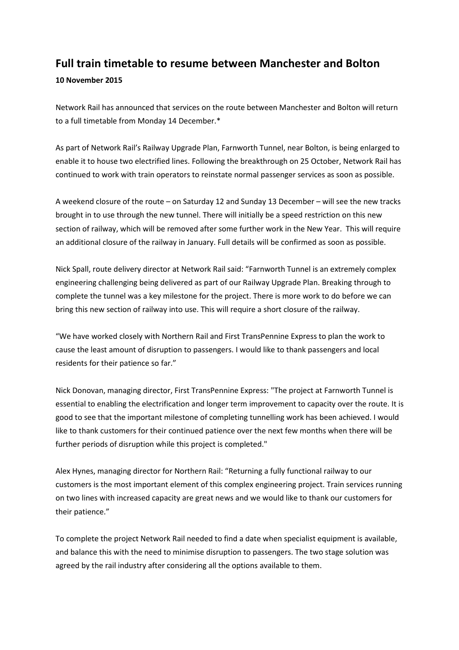## **Full train timetable to resume between Manchester and Bolton**

## **10 November 2015**

Network Rail has announced that services on the route between Manchester and Bolton will return to a full timetable from Monday 14 December.\*

As part of Network Rail's Railway Upgrade Plan, Farnworth Tunnel, near Bolton, is being enlarged to enable it to house two electrified lines. Following the breakthrough on 25 October, Network Rail has continued to work with train operators to reinstate normal passenger services as soon as possible.

A weekend closure of the route – on Saturday 12 and Sunday 13 December – will see the new tracks brought in to use through the new tunnel. There will initially be a speed restriction on this new section of railway, which will be removed after some further work in the New Year. This will require an additional closure of the railway in January. Full details will be confirmed as soon as possible.

Nick Spall, route delivery director at Network Rail said: "Farnworth Tunnel is an extremely complex engineering challenging being delivered as part of our Railway Upgrade Plan. Breaking through to complete the tunnel was a key milestone for the project. There is more work to do before we can bring this new section of railway into use. This will require a short closure of the railway.

"We have worked closely with Northern Rail and First TransPennine Express to plan the work to cause the least amount of disruption to passengers. I would like to thank passengers and local residents for their patience so far."

Nick Donovan, managing director, First TransPennine Express: "The project at Farnworth Tunnel is essential to enabling the electrification and longer term improvement to capacity over the route. It is good to see that the important milestone of completing tunnelling work has been achieved. I would like to thank customers for their continued patience over the next few months when there will be further periods of disruption while this project is completed."

Alex Hynes, managing director for Northern Rail: "Returning a fully functional railway to our customers is the most important element of this complex engineering project. Train services running on two lines with increased capacity are great news and we would like to thank our customers for their patience."

To complete the project Network Rail needed to find a date when specialist equipment is available, and balance this with the need to minimise disruption to passengers. The two stage solution was agreed by the rail industry after considering all the options available to them.